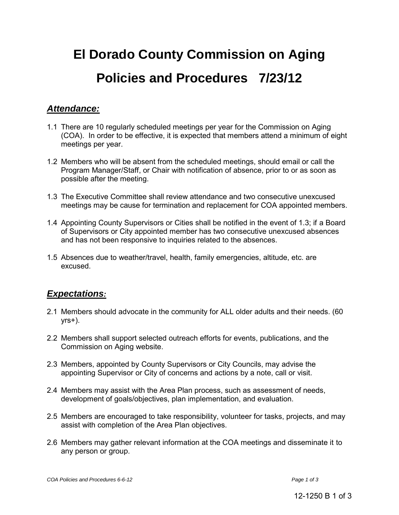# **El Dorado County Commission on Aging Policies and Procedures 7/23/12**

## *Attendance:*

- 1.1 There are 10 regularly scheduled meetings per year for the Commission on Aging (COA). In order to be effective, it is expected that members attend a minimum of eight meetings per year.
- 1.2 Members who will be absent from the scheduled meetings, should email or call the Program Manager/Staff, or Chair with notification of absence, prior to or as soon as possible after the meeting.
- 1.3 The Executive Committee shall review attendance and two consecutive unexcused meetings may be cause for termination and replacement for COA appointed members.
- 1.4 Appointing County Supervisors or Cities shall be notified in the event of 1.3; if a Board of Supervisors or City appointed member has two consecutive unexcused absences and has not been responsive to inquiries related to the absences.
- 1.5 Absences due to weather/travel, health, family emergencies, altitude, etc. are excused.

## *Expectations:*

- 2.1 Members should advocate in the community for ALL older adults and their needs. (60  $yrs+$ ).
- 2.2 Members shall support selected outreach efforts for events, publications, and the Commission on Aging website.
- 2.3 Members, appointed by County Supervisors or City Councils, may advise the appointing Supervisor or City of concerns and actions by a note, call or visit.
- 2.4 Members may assist with the Area Plan process, such as assessment of needs, development of goals/objectives, plan implementation, and evaluation.
- 2.5 Members are encouraged to take responsibility, volunteer for tasks, projects, and may assist with completion of the Area Plan objectives.
- 2.6 Members may gather relevant information at the COA meetings and disseminate it to any person or group.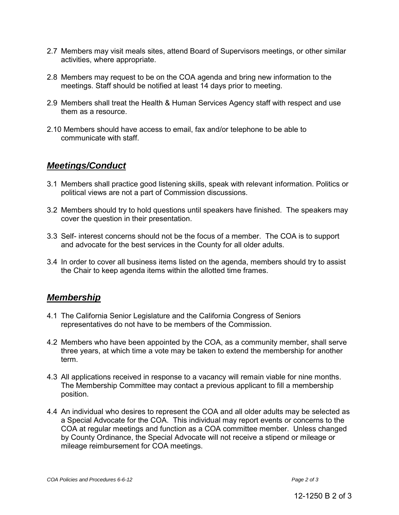- 2.7 Members may visit meals sites, attend Board of Supervisors meetings, or other similar activities, where appropriate.
- 2.8 Members may request to be on the COA agenda and bring new information to the meetings. Staff should be notified at least 14 days prior to meeting.
- 2.9 Members shall treat the Health & Human Services Agency staff with respect and use them as a resource.
- 2.10 Members should have access to email, fax and/or telephone to be able to communicate with staff.

#### *Meetings/Conduct*

- 3.1 Members shall practice good listening skills, speak with relevant information. Politics or political views are not a part of Commission discussions.
- 3.2 Members should try to hold questions until speakers have finished. The speakers may cover the question in their presentation.
- 3.3 Self- interest concerns should not be the focus of a member. The COA is to support and advocate for the best services in the County for all older adults.
- 3.4 In order to cover all business items listed on the agenda, members should try to assist the Chair to keep agenda items within the allotted time frames.

#### *Membership*

- 4.1 The California Senior Legislature and the California Congress of Seniors representatives do not have to be members of the Commission.
- 4.2 Members who have been appointed by the COA, as a community member, shall serve three years, at which time a vote may be taken to extend the membership for another term.
- 4.3 All applications received in response to a vacancy will remain viable for nine months. The Membership Committee may contact a previous applicant to fill a membership position.
- 4.4 An individual who desires to represent the COA and all older adults may be selected as a Special Advocate for the COA. This individual may report events or concerns to the COA at regular meetings and function as a COA committee member. Unless changed by County Ordinance, the Special Advocate will not receive a stipend or mileage or mileage reimbursement for COA meetings.